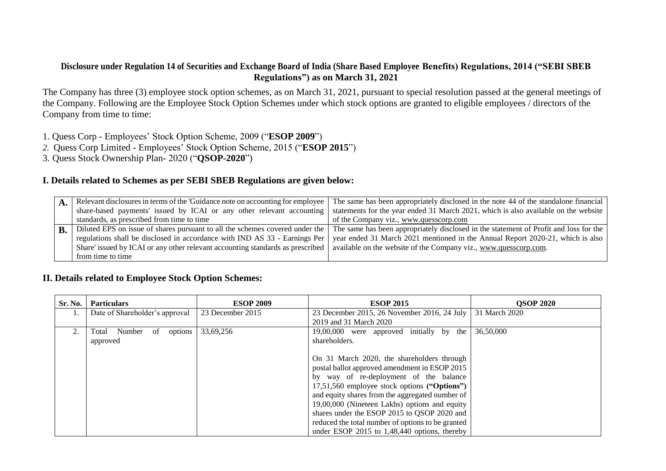#### **Disclosure under Regulation 14 of Securities and Exchange Board of India (Share Based Employee Benefits) Regulations, 2014 ("SEBI SBEB Regulations") as on March 31, 2021**

The Company has three (3) employee stock option schemes, as on March 31, 2021, pursuant to special resolution passed at the general meetings of the Company. Following are the Employee Stock Option Schemes under which stock options are granted to eligible employees / directors of the Company from time to time:

1. Quess Corp - Employees' Stock Option Scheme, 2009 ("**ESOP 2009**")

- *2.* Quess Corp Limited Employees' Stock Option Scheme, 2015 ("**ESOP 2015**")
- 3. Quess Stock Ownership Plan- 2020 ("**QSOP-2020**")

#### **I. Details related to Schemes as per SEBI SBEB Regulations are given below:**

| A | Relevant disclosures in terms of the 'Guidance note on accounting for employee | The same has been appropriately disclosed in the note 44 of the standalone financial                                                                               |
|---|--------------------------------------------------------------------------------|--------------------------------------------------------------------------------------------------------------------------------------------------------------------|
|   | share-based payments' issued by ICAI or any other relevant accounting          | statements for the year ended 31 March 2021, which is also available on the website                                                                                |
|   | standards, as prescribed from time to time                                     | of the Company viz., www.quesscorp.com                                                                                                                             |
| B |                                                                                | Diluted EPS on issue of shares pursuant to all the schemes covered under the The same has been appropriately disclosed in the statement of Profit and loss for the |
|   | regulations shall be disclosed in accordance with IND AS 33 - Earnings Per     | year ended 31 March 2021 mentioned in the Annual Report 2020-21, which is also                                                                                     |
|   | Share' issued by ICAI or any other relevant accounting standards as prescribed | available on the website of the Company viz., www.quesscorp.com.                                                                                                   |
|   | from time to time                                                              |                                                                                                                                                                    |

## **II. Details related to Employee Stock Option Schemes:**

| Sr. No. | <b>Particulars</b>             | <b>ESOP 2009</b>                             | <b>ESOP 2015</b>                                  | <b>OSOP 2020</b> |
|---------|--------------------------------|----------------------------------------------|---------------------------------------------------|------------------|
|         | Date of Shareholder's approval | 23 December 2015                             | 23 December 2015, 26 November 2016, 24 July       | 31 March 2020    |
|         |                                |                                              | 2019 and 31 March 2020                            |                  |
| 2.      | Total Number<br>options<br>of  | 33,69,256                                    | 19,00,000 were approved initially by the          | 36,50,000        |
|         | approved                       |                                              | shareholders.                                     |                  |
|         |                                |                                              |                                                   |                  |
|         |                                |                                              | On 31 March 2020, the shareholders through        |                  |
|         |                                |                                              | postal ballot approved amendment in ESOP 2015     |                  |
|         |                                |                                              | by way of re-deployment of the balance            |                  |
|         |                                | 17,51,560 employee stock options ("Options") |                                                   |                  |
|         |                                |                                              | and equity shares from the aggregated number of   |                  |
|         |                                |                                              | 19,00,000 (Nineteen Lakhs) options and equity     |                  |
|         |                                |                                              | shares under the ESOP 2015 to QSOP 2020 and       |                  |
|         |                                |                                              | reduced the total number of options to be granted |                  |
|         |                                |                                              | under ESOP $2015$ to 1,48,440 options, thereby    |                  |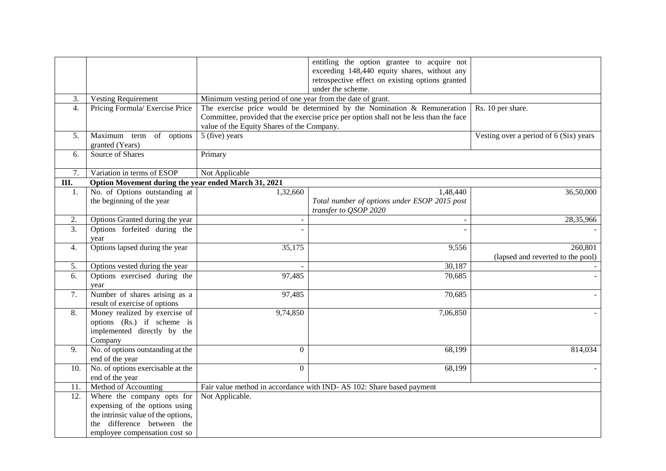| 3.               | <b>Vesting Requirement</b>                           |                                            | under the scheme.<br>Minimum vesting period of one year from the date of grant.        |                                        |  |  |
|------------------|------------------------------------------------------|--------------------------------------------|----------------------------------------------------------------------------------------|----------------------------------------|--|--|
| 4.               | Pricing Formula/ Exercise Price                      |                                            | The exercise price would be determined by the Nomination $\&$ Remuneration             | Rs. 10 per share.                      |  |  |
|                  |                                                      |                                            | Committee, provided that the exercise price per option shall not be less than the face |                                        |  |  |
|                  |                                                      | value of the Equity Shares of the Company. |                                                                                        |                                        |  |  |
| 5.               | Maximum term of options                              | 5 (five) years                             |                                                                                        | Vesting over a period of 6 (Six) years |  |  |
|                  | granted (Years)                                      |                                            |                                                                                        |                                        |  |  |
| 6.               | Source of Shares                                     | Primary                                    |                                                                                        |                                        |  |  |
|                  |                                                      |                                            |                                                                                        |                                        |  |  |
| $\overline{7}$ . | Variation in terms of ESOP                           | Not Applicable                             |                                                                                        |                                        |  |  |
| III.             | Option Movement during the year ended March 31, 2021 |                                            |                                                                                        |                                        |  |  |
| 1.               | No. of Options outstanding at                        | 1,32,660                                   | 1,48,440                                                                               | 36,50,000                              |  |  |
|                  | the beginning of the year                            |                                            | Total number of options under ESOP 2015 post                                           |                                        |  |  |
|                  |                                                      |                                            | transfer to QSOP 2020                                                                  |                                        |  |  |
| 2.               | Options Granted during the year                      |                                            |                                                                                        | 28,35,966                              |  |  |
| 3.               | Options forfeited during the                         |                                            |                                                                                        |                                        |  |  |
|                  | year                                                 |                                            |                                                                                        |                                        |  |  |
| 4.               | Options lapsed during the year                       | 35,175                                     | $\overline{9,556}$                                                                     | 260,801                                |  |  |
|                  |                                                      |                                            |                                                                                        | (lapsed and reverted to the pool)      |  |  |
| 5.               | Options vested during the year                       |                                            | 30,187                                                                                 |                                        |  |  |
| 6.               | Options exercised during the                         | 97,485                                     | 70,685                                                                                 |                                        |  |  |
|                  | year                                                 |                                            |                                                                                        |                                        |  |  |
| 7.               | Number of shares arising as a                        | 97,485                                     | 70,685                                                                                 |                                        |  |  |
|                  | result of exercise of options                        |                                            |                                                                                        |                                        |  |  |
| 8.               | Money realized by exercise of                        | 9,74,850                                   | 7,06,850                                                                               |                                        |  |  |
|                  | options (Rs.) if scheme is                           |                                            |                                                                                        |                                        |  |  |
|                  | implemented directly by the                          |                                            |                                                                                        |                                        |  |  |
| 9.               | Company<br>No. of options outstanding at the         | $\boldsymbol{0}$                           | 68,199                                                                                 | 814,034                                |  |  |
|                  | end of the year                                      |                                            |                                                                                        |                                        |  |  |
| 10.              | No. of options exercisable at the                    | $\Omega$                                   | 68,199                                                                                 |                                        |  |  |
|                  | end of the year                                      |                                            |                                                                                        |                                        |  |  |
| 11.              | Method of Accounting                                 |                                            | Fair value method in accordance with IND-AS 102: Share based payment                   |                                        |  |  |
| 12.              | Where the company opts for                           | Not Applicable.                            |                                                                                        |                                        |  |  |
|                  | expensing of the options using                       |                                            |                                                                                        |                                        |  |  |
|                  | the intrinsic value of the options,                  |                                            |                                                                                        |                                        |  |  |
|                  | difference between the<br>the                        |                                            |                                                                                        |                                        |  |  |
|                  | employee compensation cost so                        |                                            |                                                                                        |                                        |  |  |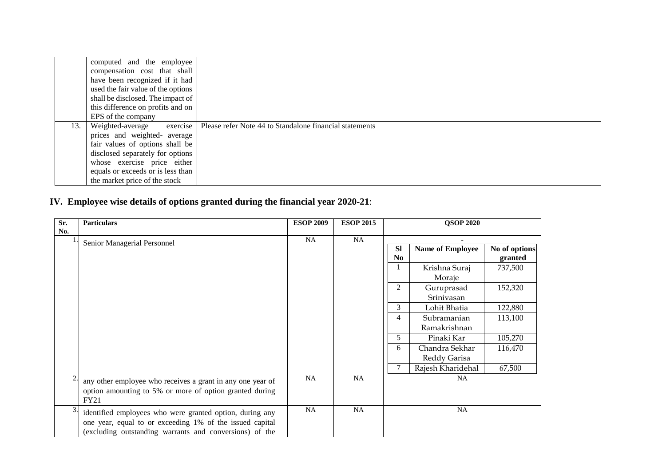|     | computed and the employee          |                                                                                     |
|-----|------------------------------------|-------------------------------------------------------------------------------------|
|     | compensation cost that shall       |                                                                                     |
|     | have been recognized if it had     |                                                                                     |
|     | used the fair value of the options |                                                                                     |
|     | shall be disclosed. The impact of  |                                                                                     |
|     | this difference on profits and on  |                                                                                     |
|     | EPS of the company                 |                                                                                     |
| 13. |                                    | Weighted-average exercise   Please refer Note 44 to Standalone financial statements |
|     | prices and weighted- average       |                                                                                     |
|     | fair values of options shall be    |                                                                                     |
|     | disclosed separately for options   |                                                                                     |
|     | whose exercise price either        |                                                                                     |
|     | equals or exceeds or is less than  |                                                                                     |
|     | the market price of the stock      |                                                                                     |

# **IV. Employee wise details of options granted during the financial year 2020-21**:

| Sr. | <b>Particulars</b>                                                                                                                                                              | <b>ESOP 2009</b> | <b>ESOP 2015</b> |                | <b>QSOP 2020</b>        |               |
|-----|---------------------------------------------------------------------------------------------------------------------------------------------------------------------------------|------------------|------------------|----------------|-------------------------|---------------|
| No. |                                                                                                                                                                                 | NA               | <b>NA</b>        |                |                         |               |
|     | Senior Managerial Personnel                                                                                                                                                     |                  |                  | <b>Sl</b>      | <b>Name of Employee</b> | No of options |
|     |                                                                                                                                                                                 |                  |                  | N <sub>0</sub> |                         | granted       |
|     |                                                                                                                                                                                 |                  |                  |                | Krishna Suraj           | 737,500       |
|     |                                                                                                                                                                                 |                  |                  |                | Moraje                  |               |
|     |                                                                                                                                                                                 |                  |                  | 2              | Guruprasad              | 152,320       |
|     |                                                                                                                                                                                 |                  |                  |                | Srinivasan              |               |
|     |                                                                                                                                                                                 |                  |                  | 3              | Lohit Bhatia            | 122,880       |
|     |                                                                                                                                                                                 |                  |                  | 4              | Subramanian             | 113,100       |
|     |                                                                                                                                                                                 |                  |                  |                | Ramakrishnan            |               |
|     |                                                                                                                                                                                 |                  |                  | 5              | Pinaki Kar              | 105,270       |
|     |                                                                                                                                                                                 |                  |                  | 6              | Chandra Sekhar          | 116,470       |
|     |                                                                                                                                                                                 |                  |                  |                | Reddy Garisa            |               |
|     |                                                                                                                                                                                 |                  |                  | 7              | Rajesh Kharidehal       | 67,500        |
|     | any other employee who receives a grant in any one year of<br>option amounting to 5% or more of option granted during<br><b>FY21</b>                                            | <b>NA</b>        | <b>NA</b>        |                | NA.                     |               |
| 3.  | identified employees who were granted option, during any<br>one year, equal to or exceeding 1% of the issued capital<br>(excluding outstanding warrants and conversions) of the | NA               | <b>NA</b>        |                | NA                      |               |